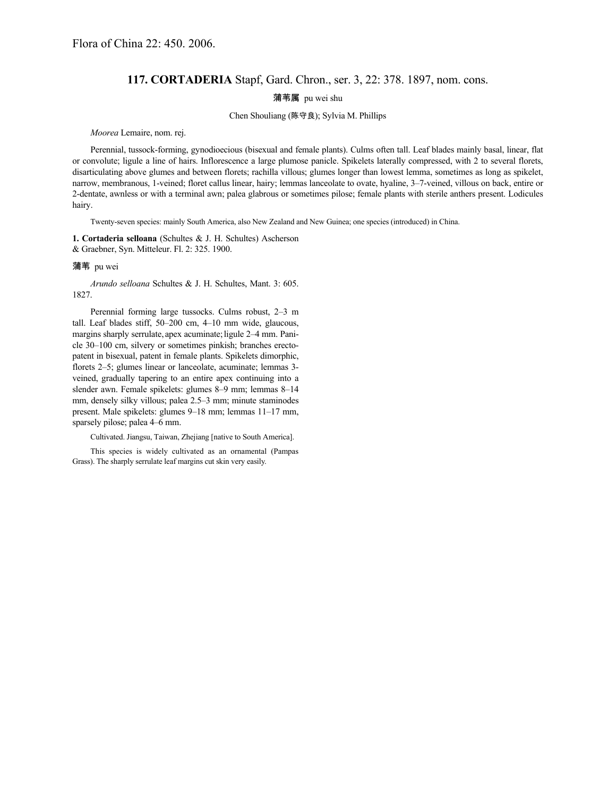# **117. CORTADERIA** Stapf, Gard. Chron., ser. 3, 22: 378. 1897, nom. cons.

## 蒲苇属 pu wei shu

## Chen Shouliang (陈守良); Sylvia M. Phillips

#### *Moorea* Lemaire, nom. rej.

Perennial, tussock-forming, gynodioecious (bisexual and female plants). Culms often tall. Leaf blades mainly basal, linear, flat or convolute; ligule a line of hairs. Inflorescence a large plumose panicle. Spikelets laterally compressed, with 2 to several florets, disarticulating above glumes and between florets; rachilla villous; glumes longer than lowest lemma, sometimes as long as spikelet, narrow, membranous, 1-veined; floret callus linear, hairy; lemmas lanceolate to ovate, hyaline, 3–7-veined, villous on back, entire or 2-dentate, awnless or with a terminal awn; palea glabrous or sometimes pilose; female plants with sterile anthers present. Lodicules hairy.

Twenty-seven species: mainly South America, also New Zealand and New Guinea; one species (introduced) in China.

**1. Cortaderia selloana** (Schultes & J. H. Schultes) Ascherson & Graebner, Syn. Mitteleur. Fl. 2: 325. 1900.

## 蒲苇 pu wei

*Arundo selloana* Schultes & J. H. Schultes, Mant. 3: 605. 1827.

Perennial forming large tussocks. Culms robust, 2–3 m tall. Leaf blades stiff, 50–200 cm, 4–10 mm wide, glaucous, margins sharply serrulate, apex acuminate; ligule 2–4 mm. Panicle 30–100 cm, silvery or sometimes pinkish; branches erectopatent in bisexual, patent in female plants. Spikelets dimorphic, florets 2–5; glumes linear or lanceolate, acuminate; lemmas 3 veined, gradually tapering to an entire apex continuing into a slender awn. Female spikelets: glumes 8–9 mm; lemmas 8–14 mm, densely silky villous; palea 2.5–3 mm; minute staminodes present. Male spikelets: glumes 9–18 mm; lemmas 11–17 mm, sparsely pilose; palea 4–6 mm.

Cultivated. Jiangsu, Taiwan, Zhejiang [native to South America].

This species is widely cultivated as an ornamental (Pampas Grass). The sharply serrulate leaf margins cut skin very easily.